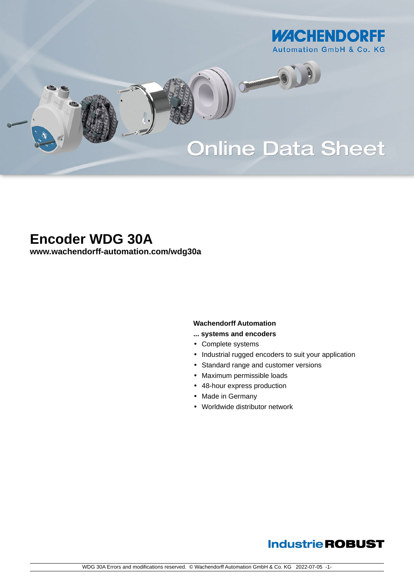

# **Online Data Sheet**

O

# **Encoder WDG 30A**

**[www.wachendorff-automation.com/wdg30a](https://www.wachendorff-automation.com/wdg30a)**

#### **Wachendorff Automation**

- **... systems and encoders**
- Complete systems
- Industrial rugged encoders to suit your application
- Standard range and customer versions
- Maximum permissible loads
- 48-hour express production
- Made in Germany
- Worldwide distributor network

## **Industrie ROBUST**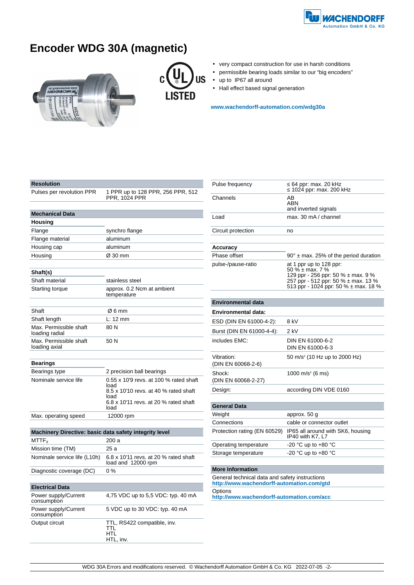

# **Encoder WDG 30A (magnetic)**





- very compact construction for use in harsh conditions
- permissible bearing loads similar to our "big encoders"
- up to IP67 all around
- Hall effect based signal generation

**[www.wachendorff-automation.com/wdg30a](https://www.wachendorff-automation.com/wdg30a)**

| Resolution                                                         |                                                                                                                                          |
|--------------------------------------------------------------------|------------------------------------------------------------------------------------------------------------------------------------------|
| Pulses per revolution PPR                                          | 1 PPR up to 128 PPR, 256 PPR, 512<br>PPR, 1024 PPR                                                                                       |
|                                                                    |                                                                                                                                          |
| <b>Mechanical Data</b>                                             |                                                                                                                                          |
| Housing                                                            |                                                                                                                                          |
| Flange                                                             | synchro flange                                                                                                                           |
| Flange material                                                    | aluminum                                                                                                                                 |
| Housing cap                                                        | aluminum                                                                                                                                 |
| Housing                                                            | Ø 30 mm                                                                                                                                  |
|                                                                    |                                                                                                                                          |
| Shaft(s)                                                           |                                                                                                                                          |
| Shaft material                                                     | stainless steel                                                                                                                          |
| Starting torque                                                    | approx. 0.2 Ncm at ambient<br>temperature                                                                                                |
| Shaft                                                              | Ø6 mm                                                                                                                                    |
| Shaft length                                                       | L: 12 mm                                                                                                                                 |
| Max. Permissible shaft<br>loading radial                           | 80N                                                                                                                                      |
| Max. Permissible shaft<br>loading axial                            | 50 N                                                                                                                                     |
| <b>Bearings</b>                                                    |                                                                                                                                          |
| Bearings type                                                      | 2 precision ball bearings                                                                                                                |
| Nominale service life                                              | 0.55 x 10'9 revs. at 100 % rated shaft<br>load<br>8.5 x 10'10 revs. at 40 % rated shaft<br>load<br>6.8 x 10'11 revs. at 20 % rated shaft |
|                                                                    | load                                                                                                                                     |
| Max. operating speed                                               | 12000 rpm                                                                                                                                |
|                                                                    |                                                                                                                                          |
| Machinery Directive: basic data safety integrity level<br>$MTTF_d$ | 200 a                                                                                                                                    |
| Mission time (TM)                                                  | 25 a                                                                                                                                     |
| Nominale service life (L10h)                                       | 6.8 x 10'11 revs. at 20 % rated shaft<br>load and 12000 rpm                                                                              |
| Diagnostic coverage (DC)                                           | 0%                                                                                                                                       |
|                                                                    |                                                                                                                                          |
| <b>Electrical Data</b>                                             |                                                                                                                                          |
| Power supply/Current<br>consumption                                | 4,75 VDC up to 5,5 VDC: typ. 40 mA                                                                                                       |
| Power supply/Current<br>consumption                                | 5 VDC up to 30 VDC: typ. 40 mA                                                                                                           |
| Output circuit                                                     | TTL, RS422 compatible, inv.<br>TTL                                                                                                       |

HTL HTL, inv.

| Pulse frequency                  | 64 ppr: max. 20 kHz<br>1024 ppr: max. 200 kHz                                                                                                                             |
|----------------------------------|---------------------------------------------------------------------------------------------------------------------------------------------------------------------------|
| Channels                         | AB<br>ABN<br>and inverted signals                                                                                                                                         |
| Load                             | max. 30 mA / channel                                                                                                                                                      |
| Circuit protection               | no                                                                                                                                                                        |
|                                  |                                                                                                                                                                           |
| <b>Accuracy</b>                  |                                                                                                                                                                           |
| Phase offset                     | $90^\circ$ ± max. 25% of the period duration                                                                                                                              |
| pulse-/pause-ratio               | at 1 ppr up to 128 ppr:<br>50 $\%$ ± max. 7 $\%$<br>129 ppr - 256 ppr: 50 % ± max. 9 %<br>257 ppr - 512 ppr: 50 % ± max. 13 %<br>513 ppr - 1024 ppr: 50 % $\pm$ max. 18 % |
|                                  |                                                                                                                                                                           |
| <b>Environmental data</b>        |                                                                                                                                                                           |
| Environmental data:              |                                                                                                                                                                           |
| ESD (DIN EN 61000-4-2):          | 8 kV                                                                                                                                                                      |
| Burst (DIN EN 61000-4-4):        | $2$ kV                                                                                                                                                                    |
| includes EMC:                    | DIN EN 61000-6-2<br>DIN EN 61000-6-3                                                                                                                                      |
| Vibration:<br>(DIN EN 60068-2-6) | 50 m/s <sup>2</sup> (10 Hz up to 2000 Hz)                                                                                                                                 |
| Shock:<br>(DIN EN 60068-2-27)    | 1000 m/s <sup>2</sup> (6 ms)                                                                                                                                              |
| Design:                          | according DIN VDE 0160                                                                                                                                                    |
|                                  |                                                                                                                                                                           |
| <b>General Data</b>              |                                                                                                                                                                           |
| Weight                           | approx. 50 g                                                                                                                                                              |
| Connections                      | cable or connector outlet                                                                                                                                                 |
| Protection rating (EN 60529)     | IP65 all around with SK6, housing<br>IP40 with K7, L7                                                                                                                     |
| Operating temperature            | -20 °C up to +80 °C                                                                                                                                                       |
| Storage temperature              | -20 °C up to +80 °C                                                                                                                                                       |
|                                  |                                                                                                                                                                           |

#### **More Information**

General technical data and safety instructions **http://www.wachendorff-automation.com/gtd Options http://www.wachendorff-automation.com/acc**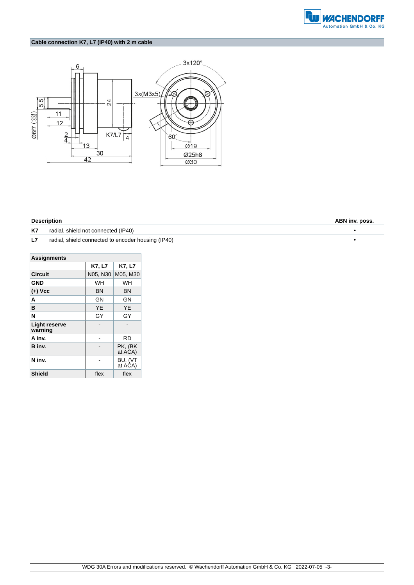

### **Cable connection K7, L7 (IP40) with 2 m cable**



| ABN inv. poss. |
|----------------|
|                |
|                |
|                |

| <b>Assignments</b>              |          |                    |  |  |
|---------------------------------|----------|--------------------|--|--|
|                                 | K7, L7   | K7, L7             |  |  |
| <b>Circuit</b>                  | N05, N30 | M05, M30           |  |  |
| GND                             | WH       | WH                 |  |  |
| $(+)$ Vcc                       | ΒN       | ΒN                 |  |  |
| A                               | GN       | GΝ                 |  |  |
| в                               | YE       | YE                 |  |  |
| N                               | GY       | GY                 |  |  |
| <b>Light reserve</b><br>warning |          |                    |  |  |
| A inv.                          |          | RD                 |  |  |
| B inv.                          |          | PK, (BK<br>at ACA) |  |  |
| N inv.                          |          | BU, (VT<br>at ACA) |  |  |
| <b>Shield</b>                   | flex     | flex               |  |  |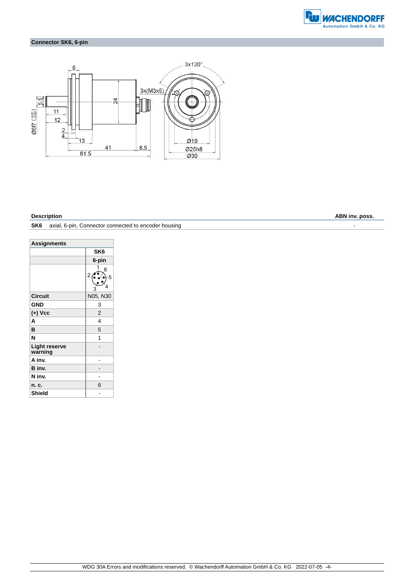

### **Connector SK6, 6-pin**



**SK6** axial, 6-pin, Connector connected to encoder housing  $\overline{\phantom{a}}$ 

| <b>Assignments</b>              |                 |  |  |
|---------------------------------|-----------------|--|--|
|                                 | SK <sub>6</sub> |  |  |
|                                 | 6-pin           |  |  |
|                                 | 6<br>2<br>5     |  |  |
| <b>Circuit</b>                  | N05, N30        |  |  |
| <b>GND</b>                      | 3               |  |  |
| $(+)$ Vcc                       | $\overline{2}$  |  |  |
| A                               | 4               |  |  |
| B                               | 5               |  |  |
| N                               | 1               |  |  |
| <b>Light reserve</b><br>warning |                 |  |  |
| A inv.                          |                 |  |  |
| B inv.                          |                 |  |  |
| N inv.                          |                 |  |  |
| n. c.                           | 6               |  |  |
| Shield                          |                 |  |  |

**Description ABN inv. poss.**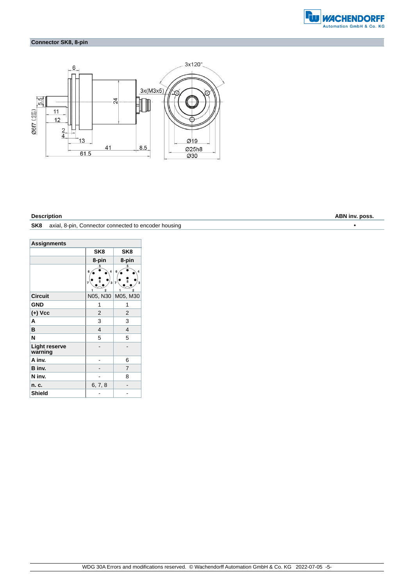

### **Connector SK8, 8-pin**



| <b>Assignments</b>              |                                                           |                                                                                 |  |
|---------------------------------|-----------------------------------------------------------|---------------------------------------------------------------------------------|--|
|                                 | SK <sub>8</sub><br>SK8                                    |                                                                                 |  |
|                                 | 8-pin<br>8-pin                                            |                                                                                 |  |
|                                 | 5<br>4<br>6<br>8<br>3<br>$\overline{7}$<br>$\overline{2}$ | 5<br>6<br>4<br>$\overline{7}$<br>$\overline{\mathbf{3}}$<br>$\overline{2}$<br>1 |  |
| <b>Circuit</b>                  | N05, N30                                                  | M05, M30                                                                        |  |
| <b>GND</b>                      | 1                                                         | 1                                                                               |  |
| $(+)$ Vcc                       | 2                                                         | 2                                                                               |  |
| A                               | 3                                                         | 3                                                                               |  |
| в                               | $\overline{4}$                                            | 4                                                                               |  |
| N                               | 5                                                         | 5                                                                               |  |
| <b>Light reserve</b><br>warning |                                                           |                                                                                 |  |
| A inv.                          |                                                           | 6                                                                               |  |
| B inv.                          |                                                           | 7                                                                               |  |
| N inv.                          |                                                           | 8                                                                               |  |
| n. c.                           | 6, 7, 8                                                   |                                                                                 |  |
| <b>Shield</b>                   |                                                           |                                                                                 |  |

**SK8** axial, 8-pin, Connector connected to encoder housing •

**Description ABN inv. poss.**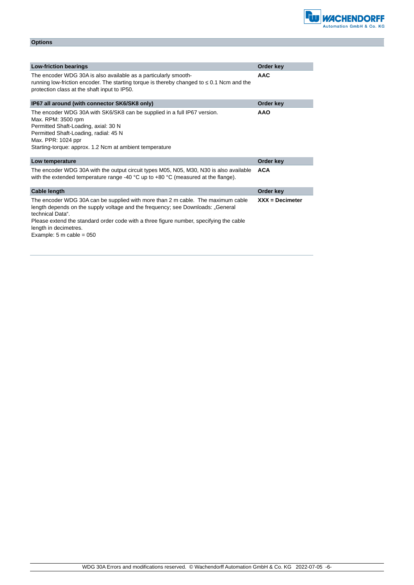| Options |  |  |  |
|---------|--|--|--|
|         |  |  |  |

| <b>Low-friction bearings</b>                                                                                                                                                                                                                                                                                                            | Order key         |
|-----------------------------------------------------------------------------------------------------------------------------------------------------------------------------------------------------------------------------------------------------------------------------------------------------------------------------------------|-------------------|
| The encoder WDG 30A is also available as a particularly smooth-<br>running low-friction encoder. The starting torque is thereby changed to<br>0.1 Ncm and the<br>protection class at the shaft input to IP50.                                                                                                                           | <b>AAC</b>        |
| IP67 all around (with connector SK6/SK8 only)                                                                                                                                                                                                                                                                                           | Order key         |
| The encoder WDG 30A with SK6/SK8 can be supplied in a full IP67 version.<br>Max. RPM: 3500 rpm<br>Permitted Shaft-Loading, axial: 30 N<br>Permitted Shaft-Loading, radial: 45 N<br>Max. PPR: 1024 ppr<br>Starting-torque: approx. 1.2 Ncm at ambient temperature                                                                        | <b>AAO</b>        |
| Low temperature                                                                                                                                                                                                                                                                                                                         | Order key         |
| The encoder WDG 30A with the output circuit types M05, N05, M30, N30 is also available<br>with the extended temperature range -40 $^{\circ}$ C up to +80 $^{\circ}$ C (measured at the flange).                                                                                                                                         | <b>ACA</b>        |
| Cable length                                                                                                                                                                                                                                                                                                                            | Order key         |
| The encoder WDG 30A can be supplied with more than 2 m cable. The maximum cable<br>length depends on the supply voltage and the frequency; see Downloads: "General<br>technical Data".<br>Please extend the standard order code with a three figure number, specifying the cable<br>length in decimetres.<br>Example: 5 m cable = $050$ | $XXX = Decimeter$ |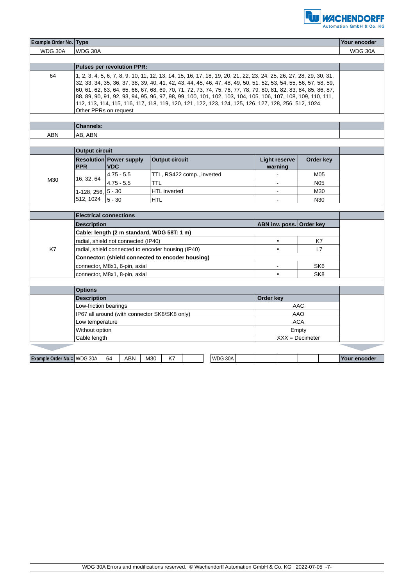

| Example Order No. Type     |                                                  |                                                    |                       |                            |                                                                                                                                                                                                                                                                                                                                                                                                                                                                                                                                                                                |                   | Your encoder |
|----------------------------|--------------------------------------------------|----------------------------------------------------|-----------------------|----------------------------|--------------------------------------------------------------------------------------------------------------------------------------------------------------------------------------------------------------------------------------------------------------------------------------------------------------------------------------------------------------------------------------------------------------------------------------------------------------------------------------------------------------------------------------------------------------------------------|-------------------|--------------|
| WDG 30A                    | WDG 30A                                          |                                                    |                       |                            |                                                                                                                                                                                                                                                                                                                                                                                                                                                                                                                                                                                |                   | WDG 30A      |
|                            |                                                  |                                                    |                       |                            |                                                                                                                                                                                                                                                                                                                                                                                                                                                                                                                                                                                |                   |              |
|                            |                                                  | <b>Pulses per revolution PPR:</b>                  |                       |                            |                                                                                                                                                                                                                                                                                                                                                                                                                                                                                                                                                                                |                   |              |
| 64                         |                                                  | Other PPRs on request                              |                       |                            | 1, 2, 3, 4, 5, 6, 7, 8, 9, 10, 11, 12, 13, 14, 15, 16, 17, 18, 19, 20, 21, 22, 23, 24, 25, 26, 27, 28, 29, 30, 31,<br>32, 33, 34, 35, 36, 37, 38, 39, 40, 41, 42, 43, 44, 45, 46, 47, 48, 49, 50, 51, 52, 53, 54, 55, 56, 57, 58, 59,<br>60, 61, 62, 63, 64, 65, 66, 67, 68, 69, 70, 71, 72, 73, 74, 75, 76, 77, 78, 79, 80, 81, 82, 83, 84, 85, 86, 87,<br>88, 89, 90, 91, 92, 93, 94, 95, 96, 97, 98, 99, 100, 101, 102, 103, 104, 105, 106, 107, 108, 109, 110, 111,<br>112, 113, 114, 115, 116, 117, 118, 119, 120, 121, 122, 123, 124, 125, 126, 127, 128, 256, 512, 1024 |                   |              |
|                            |                                                  |                                                    |                       |                            |                                                                                                                                                                                                                                                                                                                                                                                                                                                                                                                                                                                |                   |              |
|                            | <b>Channels:</b>                                 |                                                    |                       |                            |                                                                                                                                                                                                                                                                                                                                                                                                                                                                                                                                                                                |                   |              |
| ABN                        | AB, ABN                                          |                                                    |                       |                            |                                                                                                                                                                                                                                                                                                                                                                                                                                                                                                                                                                                |                   |              |
|                            |                                                  |                                                    |                       |                            |                                                                                                                                                                                                                                                                                                                                                                                                                                                                                                                                                                                |                   |              |
|                            | <b>Output circuit</b>                            |                                                    |                       |                            |                                                                                                                                                                                                                                                                                                                                                                                                                                                                                                                                                                                |                   |              |
|                            | <b>PPR</b>                                       | <b>Resolution Power supply</b><br><b>VDC</b>       | <b>Output circuit</b> |                            | <b>Light reserve</b><br>warning                                                                                                                                                                                                                                                                                                                                                                                                                                                                                                                                                | Order key         |              |
|                            |                                                  | $4.75 - 5.5$                                       |                       | TTL, RS422 comp., inverted | $\blacksquare$                                                                                                                                                                                                                                                                                                                                                                                                                                                                                                                                                                 | M05               |              |
| M30                        | 16, 32, 64                                       | $4.75 - 5.5$                                       | TTL                   |                            | $\overline{\phantom{a}}$                                                                                                                                                                                                                                                                                                                                                                                                                                                                                                                                                       | N <sub>05</sub>   |              |
|                            | 1-128, 256, $ 5 - 30$                            |                                                    | <b>HTL</b> inverted   |                            | $\blacksquare$                                                                                                                                                                                                                                                                                                                                                                                                                                                                                                                                                                 | M30               |              |
|                            | 512, 1024                                        | $ 5 - 30$                                          | <b>HTL</b>            |                            |                                                                                                                                                                                                                                                                                                                                                                                                                                                                                                                                                                                | N30               |              |
|                            |                                                  |                                                    |                       |                            |                                                                                                                                                                                                                                                                                                                                                                                                                                                                                                                                                                                |                   |              |
|                            |                                                  | <b>Electrical connections</b>                      |                       |                            |                                                                                                                                                                                                                                                                                                                                                                                                                                                                                                                                                                                |                   |              |
|                            | <b>Description</b>                               |                                                    |                       |                            | ABN inv. poss. Order key                                                                                                                                                                                                                                                                                                                                                                                                                                                                                                                                                       |                   |              |
|                            |                                                  | Cable: length (2 m standard, WDG 58T: 1 m)         |                       |                            |                                                                                                                                                                                                                                                                                                                                                                                                                                                                                                                                                                                |                   |              |
|                            | radial, shield not connected (IP40)              |                                                    |                       | $\bullet$                  | K7                                                                                                                                                                                                                                                                                                                                                                                                                                                                                                                                                                             |                   |              |
| K7                         |                                                  | radial, shield connected to encoder housing (IP40) |                       |                            |                                                                                                                                                                                                                                                                                                                                                                                                                                                                                                                                                                                | L7                |              |
|                            | Connector: (shield connected to encoder housing) |                                                    |                       |                            |                                                                                                                                                                                                                                                                                                                                                                                                                                                                                                                                                                                |                   |              |
|                            | connector, M8x1, 6-pin, axial                    |                                                    |                       |                            | SK <sub>6</sub>                                                                                                                                                                                                                                                                                                                                                                                                                                                                                                                                                                |                   |              |
|                            | connector, M8x1, 8-pin, axial                    |                                                    |                       |                            | $\bullet$                                                                                                                                                                                                                                                                                                                                                                                                                                                                                                                                                                      | SK8               |              |
|                            |                                                  |                                                    |                       |                            |                                                                                                                                                                                                                                                                                                                                                                                                                                                                                                                                                                                |                   |              |
|                            | <b>Options</b>                                   |                                                    |                       |                            |                                                                                                                                                                                                                                                                                                                                                                                                                                                                                                                                                                                |                   |              |
|                            | <b>Description</b>                               |                                                    |                       | Order key                  |                                                                                                                                                                                                                                                                                                                                                                                                                                                                                                                                                                                |                   |              |
|                            | Low-friction bearings                            |                                                    |                       |                            | AAC                                                                                                                                                                                                                                                                                                                                                                                                                                                                                                                                                                            |                   |              |
|                            | IP67 all around (with connector SK6/SK8 only)    |                                                    |                       |                            | <b>AAO</b>                                                                                                                                                                                                                                                                                                                                                                                                                                                                                                                                                                     |                   |              |
|                            | Low temperature                                  |                                                    |                       |                            | <b>ACA</b>                                                                                                                                                                                                                                                                                                                                                                                                                                                                                                                                                                     |                   |              |
|                            | Without option                                   |                                                    |                       |                            | Empty                                                                                                                                                                                                                                                                                                                                                                                                                                                                                                                                                                          |                   |              |
|                            | Cable length                                     |                                                    |                       |                            |                                                                                                                                                                                                                                                                                                                                                                                                                                                                                                                                                                                | $XXX = Decimeter$ |              |
|                            |                                                  |                                                    |                       |                            |                                                                                                                                                                                                                                                                                                                                                                                                                                                                                                                                                                                |                   |              |
| Example Order No.= WDG 30A |                                                  | 64<br>ABN                                          | M30<br>K7             | WDG 30A                    |                                                                                                                                                                                                                                                                                                                                                                                                                                                                                                                                                                                |                   | Your encoder |